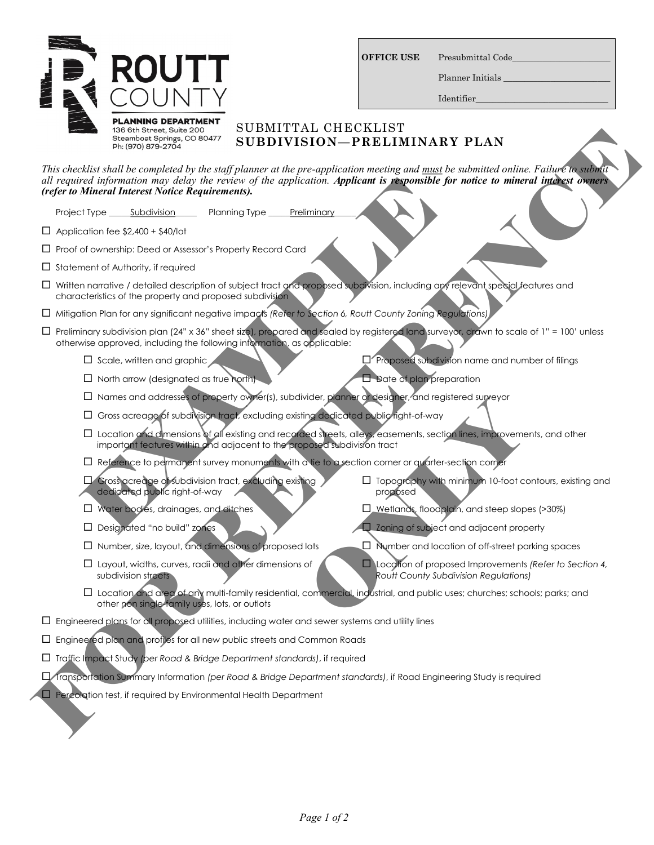

| <b>OFFICE USE</b> |  |
|-------------------|--|
|                   |  |

Presubmittal Code

Planner Initials

Identifier\_\_\_\_\_\_\_\_\_\_\_\_\_\_\_\_\_\_\_\_\_\_\_\_\_\_\_\_\_\_\_

## SUBMITTAL CHECKLIST **SUBDIVISION—PRELIMINARY PLAN**

*This checklist shall be completed by the staff planner at the pre-application meeting and must be submitted online. Failure to submit all required information may delay the review of the application. Applicant is responsible for notice to mineral interest owners (refer to Mineral Interest Notice Requirements).* The decision distribution of the spin-term of the spin-term of the spin-term of the spin-term of the spin-term of the spin-term of the spin-term of the spin-term of the spin-term of the spin-term of the spin-term of the sp

Project Type \_\_\_\_\_\_ Subdivision \_\_\_\_\_\_\_\_ Planning Type \_\_\_\_\_\_ Preliminary

 $\Box$  Application fee \$2,400 + \$40/lot

 $\Box$  Proof of ownership: Deed or Assessor's Property Record Card

 $\Box$  Statement of Authority, if required

- Written narrative / detailed description of subject tract and proposed subdivision, including any relevant special features and characteristics of the property and proposed subdivision
- Mitigation Plan for any significant negative impacts *(Refer to Section 6, Routt County Zoning Regulations)*
- Preliminary subdivision plan (24" x 36" sheet size), prepared and sealed by registered land surveyor, drawn to scale of 1" = 100' unless otherwise approved, including the following information, as applicable:
	- $\square$  Scale, written and graphic  $\square$  Proposed subdivision name and number of filings
	- $\Box$  North arrow (designated as true north)  $\Box$  Date of plan preparation
	- $\Box$  Names and addresses of property owner(s), subdivider, planner or designer, and registered surveyor
	- Gross acreage of subdivision tract, excluding existing dedicated public right-of-way
- Location and dimensions of all existing and recorded streets, alleys, easements, section lines, improvements, and other important features within and adjacent to the proposed subdivision tract Frequenition may delay the review of the application. Application is responsible for<br>
Mineral Interest Notice Requirements).<br>
The Subdivision Planning Type Preliminary<br>
The Subdivision of A40/Iot<br>
of ownership: Deed or Ass
	- Reference to permanent survey monuments with a tie to a section corner or quarter-section corner
	- Gross acreage of subdivision tract, excluding existing dedicated public right-of-way
	- U Water bodies, drainages, and ditches **WALK CONTEX CONTEX CONTEX CONTEX CONTEX CONTEX CONTEX CONTEX CONTEX CONTEX CONTEX CONTEX CONTEX CONTEX CONTEX CONTEX CONTEX CONTEX CONTEX CONTEX CONTEX CONTEX CONTEX CONTEX CONTEX CO**
	- $\square$  Designated "no build" zones  $\square$  Zoning of subject and adjacent property
	-
	- $\Box$  Layout, widths, curves, radii and other dimensions of subdivision streets
	- $\Box$  Number, size, layout, and dimensions of proposed lots  $\Box$  Number and location of off-street parking spaces Marine Content of designer, and registered surveyor and dedicated public right-of-way<br>
	and dedicated public right-of-way<br>
	ed streets, alleys, easements, section lines, improveme<br>
	obsed subdivision fract<br>  $\square$  Topography wi

proposed

 Location of proposed Improvements *(Refer to Section 4, Routt County Subdivision Regulations)*

 $\Box$  Topography with minimum 10-foot contours, existing and

- $\square$  Location and area of any multi-family residential, commercial, industrial, and public uses; churches; schools; parks; and other non single-family uses, lots, or outlots
- $\Box$  Engineered plans for all proposed utilities, including water and sewer systems and utility lines
- Engineered plan and profiles for all new public streets and Common Roads
- Traffic Impact Study *(per Road & Bridge Department standards)*, if required
- Transportation Summary Information *(per Road & Bridge Department standards)*, if Road Engineering Study is required
- $\Box$  Percolation test, if required by Environmental Health Department